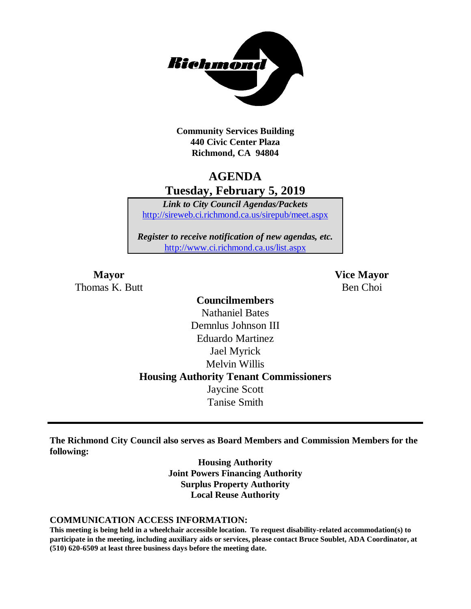

**Community Services Building 440 Civic Center Plaza Richmond, CA 94804**

# **AGENDA Tuesday, February 5, 2019**

*Link to City Council Agendas/Packets* <http://sireweb.ci.richmond.ca.us/sirepub/meet.aspx>

*Register to receive notification of new agendas, etc.* <http://www.ci.richmond.ca.us/list.aspx>

Thomas K. Butt Ben Choi

**Mayor Vice Mayor**

## **Councilmembers** Nathaniel Bates Demnlus Johnson III Eduardo Martinez Jael Myrick Melvin Willis **Housing Authority Tenant Commissioners** Jaycine Scott Tanise Smith

**The Richmond City Council also serves as Board Members and Commission Members for the following:**

> **Housing Authority Joint Powers Financing Authority Surplus Property Authority Local Reuse Authority**

#### **COMMUNICATION ACCESS INFORMATION:**

**This meeting is being held in a wheelchair accessible location. To request disability-related accommodation(s) to participate in the meeting, including auxiliary aids or services, please contact Bruce Soublet, ADA Coordinator, at (510) 620-6509 at least three business days before the meeting date.**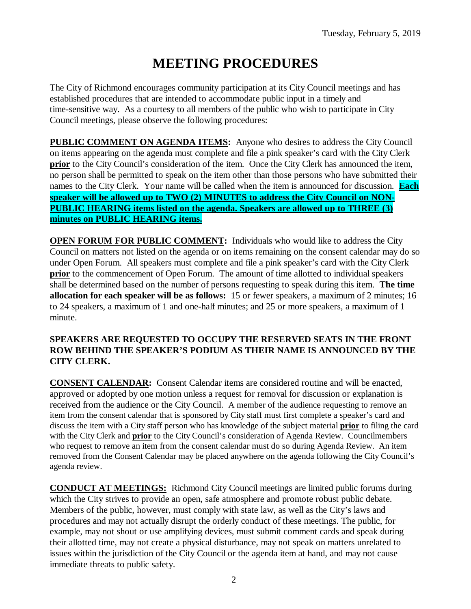# **MEETING PROCEDURES**

The City of Richmond encourages community participation at its City Council meetings and has established procedures that are intended to accommodate public input in a timely and time-sensitive way. As a courtesy to all members of the public who wish to participate in City Council meetings, please observe the following procedures:

**PUBLIC COMMENT ON AGENDA ITEMS:** Anyone who desires to address the City Council on items appearing on the agenda must complete and file a pink speaker's card with the City Clerk **prior** to the City Council's consideration of the item. Once the City Clerk has announced the item, no person shall be permitted to speak on the item other than those persons who have submitted their names to the City Clerk. Your name will be called when the item is announced for discussion. **Each speaker will be allowed up to TWO (2) MINUTES to address the City Council on NON-PUBLIC HEARING items listed on the agenda. Speakers are allowed up to THREE (3) minutes on PUBLIC HEARING items.**

**OPEN FORUM FOR PUBLIC COMMENT:** Individuals who would like to address the City Council on matters not listed on the agenda or on items remaining on the consent calendar may do so under Open Forum. All speakers must complete and file a pink speaker's card with the City Clerk **prior** to the commencement of Open Forum. The amount of time allotted to individual speakers shall be determined based on the number of persons requesting to speak during this item. **The time allocation for each speaker will be as follows:** 15 or fewer speakers, a maximum of 2 minutes; 16 to 24 speakers, a maximum of 1 and one-half minutes; and 25 or more speakers, a maximum of 1 minute.

#### **SPEAKERS ARE REQUESTED TO OCCUPY THE RESERVED SEATS IN THE FRONT ROW BEHIND THE SPEAKER'S PODIUM AS THEIR NAME IS ANNOUNCED BY THE CITY CLERK.**

**CONSENT CALENDAR:** Consent Calendar items are considered routine and will be enacted, approved or adopted by one motion unless a request for removal for discussion or explanation is received from the audience or the City Council. A member of the audience requesting to remove an item from the consent calendar that is sponsored by City staff must first complete a speaker's card and discuss the item with a City staff person who has knowledge of the subject material **prior** to filing the card with the City Clerk and **prior** to the City Council's consideration of Agenda Review. Councilmembers who request to remove an item from the consent calendar must do so during Agenda Review. An item removed from the Consent Calendar may be placed anywhere on the agenda following the City Council's agenda review.

**CONDUCT AT MEETINGS:** Richmond City Council meetings are limited public forums during which the City strives to provide an open, safe atmosphere and promote robust public debate. Members of the public, however, must comply with state law, as well as the City's laws and procedures and may not actually disrupt the orderly conduct of these meetings. The public, for example, may not shout or use amplifying devices, must submit comment cards and speak during their allotted time, may not create a physical disturbance, may not speak on matters unrelated to issues within the jurisdiction of the City Council or the agenda item at hand, and may not cause immediate threats to public safety.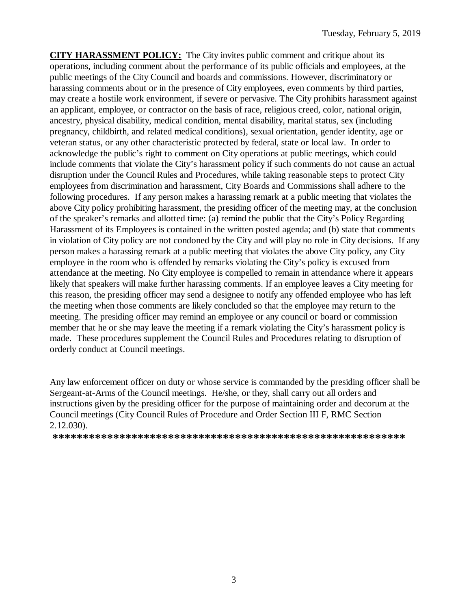**CITY HARASSMENT POLICY:** The City invites public comment and critique about its operations, including comment about the performance of its public officials and employees, at the public meetings of the City Council and boards and commissions. However, discriminatory or harassing comments about or in the presence of City employees, even comments by third parties, may create a hostile work environment, if severe or pervasive. The City prohibits harassment against an applicant, employee, or contractor on the basis of race, religious creed, color, national origin, ancestry, physical disability, medical condition, mental disability, marital status, sex (including pregnancy, childbirth, and related medical conditions), sexual orientation, gender identity, age or veteran status, or any other characteristic protected by federal, state or local law. In order to acknowledge the public's right to comment on City operations at public meetings, which could include comments that violate the City's harassment policy if such comments do not cause an actual disruption under the Council Rules and Procedures, while taking reasonable steps to protect City employees from discrimination and harassment, City Boards and Commissions shall adhere to the following procedures. If any person makes a harassing remark at a public meeting that violates the above City policy prohibiting harassment, the presiding officer of the meeting may, at the conclusion of the speaker's remarks and allotted time: (a) remind the public that the City's Policy Regarding Harassment of its Employees is contained in the written posted agenda; and (b) state that comments in violation of City policy are not condoned by the City and will play no role in City decisions. If any person makes a harassing remark at a public meeting that violates the above City policy, any City employee in the room who is offended by remarks violating the City's policy is excused from attendance at the meeting. No City employee is compelled to remain in attendance where it appears likely that speakers will make further harassing comments. If an employee leaves a City meeting for this reason, the presiding officer may send a designee to notify any offended employee who has left the meeting when those comments are likely concluded so that the employee may return to the meeting. The presiding officer may remind an employee or any council or board or commission member that he or she may leave the meeting if a remark violating the City's harassment policy is made. These procedures supplement the Council Rules and Procedures relating to disruption of orderly conduct at Council meetings.

Any law enforcement officer on duty or whose service is commanded by the presiding officer shall be Sergeant-at-Arms of the Council meetings. He/she, or they, shall carry out all orders and instructions given by the presiding officer for the purpose of maintaining order and decorum at the Council meetings (City Council Rules of Procedure and Order Section III F, RMC Section 2.12.030).

**\*\*\*\*\*\*\*\*\*\*\*\*\*\*\*\*\*\*\*\*\*\*\*\*\*\*\*\*\*\*\*\*\*\*\*\*\*\*\*\*\*\*\*\*\*\*\*\*\*\*\*\*\*\*\*\*\*\***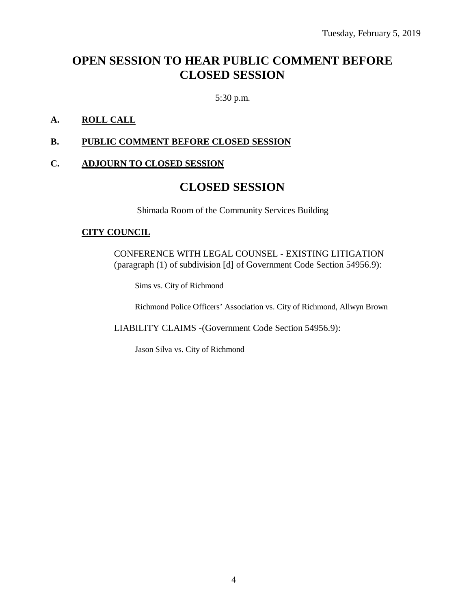# **OPEN SESSION TO HEAR PUBLIC COMMENT BEFORE CLOSED SESSION**

5:30 p.m.

#### **A. ROLL CALL**

#### **B. PUBLIC COMMENT BEFORE CLOSED SESSION**

### **C. ADJOURN TO CLOSED SESSION**

### **CLOSED SESSION**

Shimada Room of the Community Services Building

#### **CITY COUNCIL**

CONFERENCE WITH LEGAL COUNSEL - EXISTING LITIGATION (paragraph (1) of subdivision [d] of Government Code Section 54956.9):

Sims vs. City of Richmond

Richmond Police Officers' Association vs. City of Richmond, Allwyn Brown

LIABILITY CLAIMS -(Government Code Section 54956.9):

Jason Silva vs. City of Richmond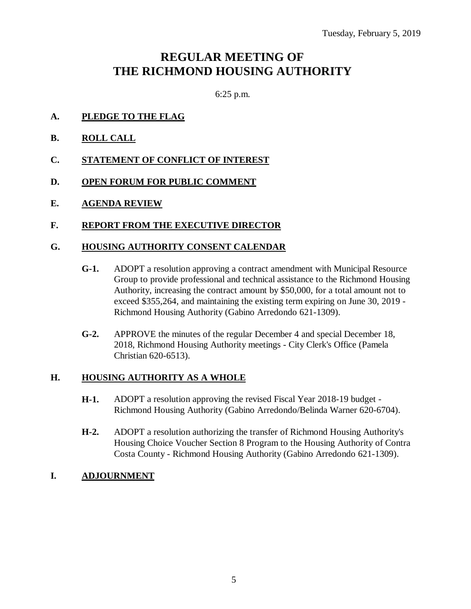# **REGULAR MEETING OF THE RICHMOND HOUSING AUTHORITY**

6:25 p.m.

- **A. PLEDGE TO THE FLAG**
- **B. ROLL CALL**
- **C. STATEMENT OF CONFLICT OF INTEREST**
- **D. OPEN FORUM FOR PUBLIC COMMENT**
- **E. AGENDA REVIEW**

#### **F. REPORT FROM THE EXECUTIVE DIRECTOR**

#### **G. HOUSING AUTHORITY CONSENT CALENDAR**

- **G-1.** ADOPT a resolution approving a contract amendment with Municipal Resource Group to provide professional and technical assistance to the Richmond Housing Authority, increasing the contract amount by \$50,000, for a total amount not to exceed \$355,264, and maintaining the existing term expiring on June 30, 2019 - Richmond Housing Authority (Gabino Arredondo 621-1309).
- **G-2.** APPROVE the minutes of the regular December 4 and special December 18, 2018, Richmond Housing Authority meetings - City Clerk's Office (Pamela Christian 620-6513).

#### **H. HOUSING AUTHORITY AS A WHOLE**

- **H-1.** ADOPT a resolution approving the revised Fiscal Year 2018-19 budget Richmond Housing Authority (Gabino Arredondo/Belinda Warner 620-6704).
- **H-2.** ADOPT a resolution authorizing the transfer of Richmond Housing Authority's Housing Choice Voucher Section 8 Program to the Housing Authority of Contra Costa County - Richmond Housing Authority (Gabino Arredondo 621-1309).

### **I. ADJOURNMENT**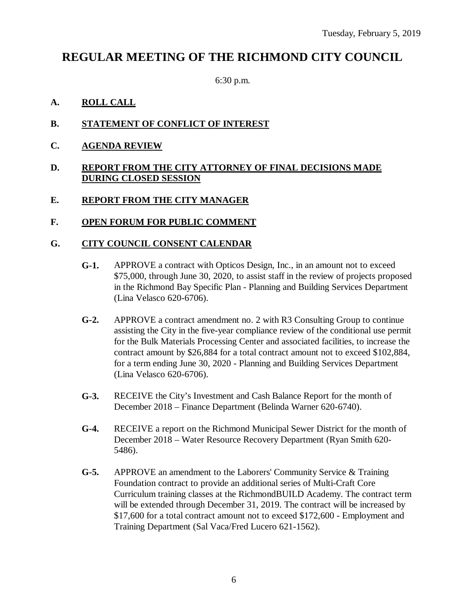# **REGULAR MEETING OF THE RICHMOND CITY COUNCIL**

6:30 p.m.

#### **A. ROLL CALL**

- **B. STATEMENT OF CONFLICT OF INTEREST**
- **C. AGENDA REVIEW**

#### **D. REPORT FROM THE CITY ATTORNEY OF FINAL DECISIONS MADE DURING CLOSED SESSION**

#### **E. REPORT FROM THE CITY MANAGER**

#### **F. OPEN FORUM FOR PUBLIC COMMENT**

#### **G. CITY COUNCIL CONSENT CALENDAR**

- **G-1.** APPROVE a contract with Opticos Design, Inc., in an amount not to exceed \$75,000, through June 30, 2020, to assist staff in the review of projects proposed in the Richmond Bay Specific Plan - Planning and Building Services Department (Lina Velasco 620-6706).
- **G-2.** APPROVE a contract amendment no. 2 with R3 Consulting Group to continue assisting the City in the five-year compliance review of the conditional use permit for the Bulk Materials Processing Center and associated facilities, to increase the contract amount by \$26,884 for a total contract amount not to exceed \$102,884, for a term ending June 30, 2020 - Planning and Building Services Department (Lina Velasco 620-6706).
- **G-3.** RECEIVE the City's Investment and Cash Balance Report for the month of December 2018 – Finance Department (Belinda Warner 620-6740).
- **G-4.** RECEIVE a report on the Richmond Municipal Sewer District for the month of December 2018 – Water Resource Recovery Department (Ryan Smith 620- 5486).
- **G-5.** APPROVE an amendment to the Laborers' Community Service & Training Foundation contract to provide an additional series of Multi-Craft Core Curriculum training classes at the RichmondBUILD Academy. The contract term will be extended through December 31, 2019. The contract will be increased by \$17,600 for a total contract amount not to exceed \$172,600 - Employment and Training Department (Sal Vaca/Fred Lucero 621-1562).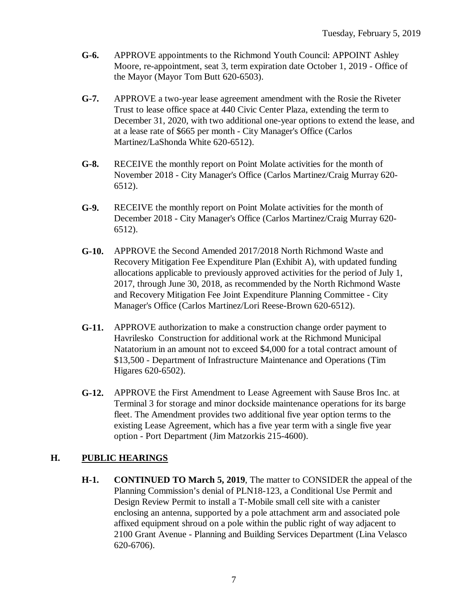- **G-6.** APPROVE appointments to the Richmond Youth Council: APPOINT Ashley Moore, re-appointment, seat 3, term expiration date October 1, 2019 - Office of the Mayor (Mayor Tom Butt 620-6503).
- **G-7.** APPROVE a two-year lease agreement amendment with the Rosie the Riveter Trust to lease office space at 440 Civic Center Plaza, extending the term to December 31, 2020, with two additional one-year options to extend the lease, and at a lease rate of \$665 per month - City Manager's Office (Carlos Martinez/LaShonda White 620-6512).
- **G-8.** RECEIVE the monthly report on Point Molate activities for the month of November 2018 - City Manager's Office (Carlos Martinez/Craig Murray 620- 6512).
- **G-9.** RECEIVE the monthly report on Point Molate activities for the month of December 2018 - City Manager's Office (Carlos Martinez/Craig Murray 620- 6512).
- **G-10.** APPROVE the Second Amended 2017/2018 North Richmond Waste and Recovery Mitigation Fee Expenditure Plan (Exhibit A), with updated funding allocations applicable to previously approved activities for the period of July 1, 2017, through June 30, 2018, as recommended by the North Richmond Waste and Recovery Mitigation Fee Joint Expenditure Planning Committee - City Manager's Office (Carlos Martinez/Lori Reese-Brown 620-6512).
- **G-11.** APPROVE authorization to make a construction change order payment to Havrilesko Construction for additional work at the Richmond Municipal Natatorium in an amount not to exceed \$4,000 for a total contract amount of \$13,500 - Department of Infrastructure Maintenance and Operations (Tim Higares 620-6502).
- **G-12.** APPROVE the First Amendment to Lease Agreement with Sause Bros Inc. at Terminal 3 for storage and minor dockside maintenance operations for its barge fleet. The Amendment provides two additional five year option terms to the existing Lease Agreement, which has a five year term with a single five year option - Port Department (Jim Matzorkis 215-4600).

### **H. PUBLIC HEARINGS**

**H-1. CONTINUED TO March 5, 2019**, The matter to CONSIDER the appeal of the Planning Commission's denial of PLN18-123, a Conditional Use Permit and Design Review Permit to install a T-Mobile small cell site with a canister enclosing an antenna, supported by a pole attachment arm and associated pole affixed equipment shroud on a pole within the public right of way adjacent to 2100 Grant Avenue - Planning and Building Services Department (Lina Velasco 620-6706).